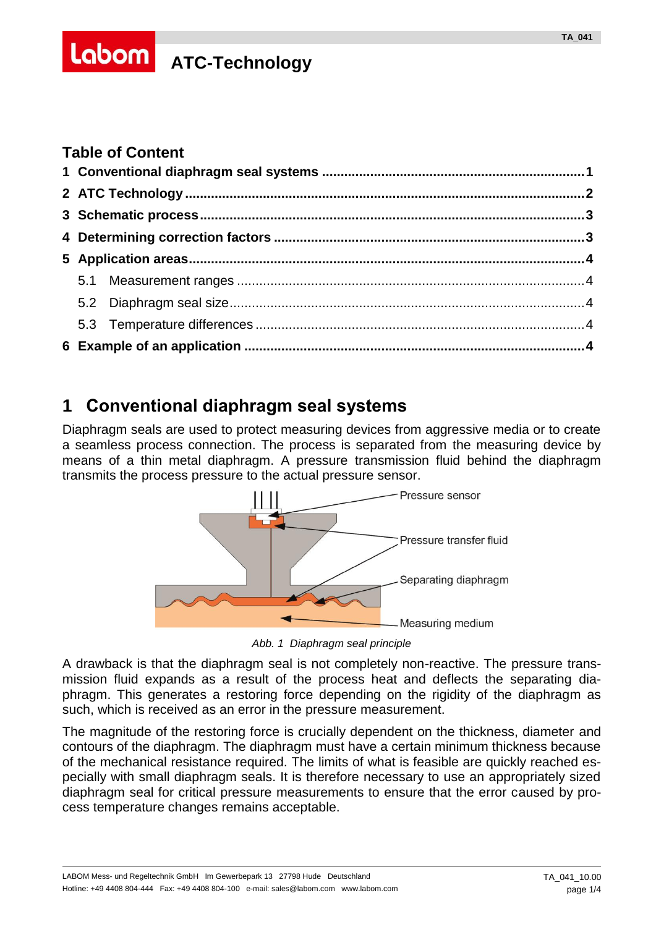# **Labom** ATC-Technology

#### **Table of Content**

## <span id="page-0-0"></span>**1 Conventional diaphragm seal systems**

Diaphragm seals are used to protect measuring devices from aggressive media or to create a seamless process connection. The process is separated from the measuring device by means of a thin metal diaphragm. A pressure transmission fluid behind the diaphragm transmits the process pressure to the actual pressure sensor.



*Abb. 1 Diaphragm seal principle*

A drawback is that the diaphragm seal is not completely non-reactive. The pressure transmission fluid expands as a result of the process heat and deflects the separating diaphragm. This generates a restoring force depending on the rigidity of the diaphragm as such, which is received as an error in the pressure measurement.

The magnitude of the restoring force is crucially dependent on the thickness, diameter and contours of the diaphragm. The diaphragm must have a certain minimum thickness because of the mechanical resistance required. The limits of what is feasible are quickly reached especially with small diaphragm seals. It is therefore necessary to use an appropriately sized diaphragm seal for critical pressure measurements to ensure that the error caused by process temperature changes remains acceptable.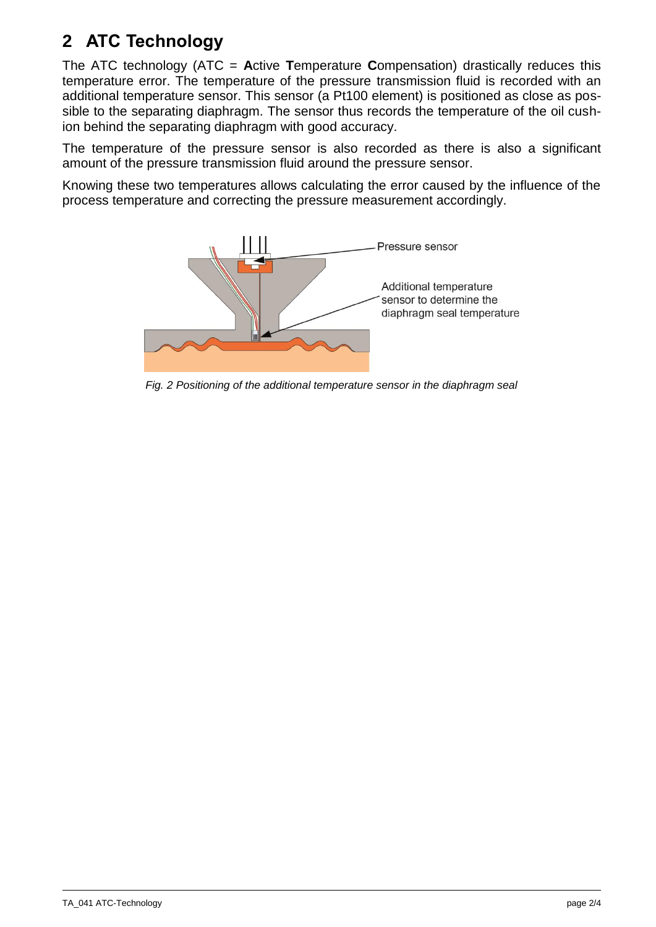## <span id="page-1-0"></span>**2 ATC Technology**

The ATC technology (ATC = **A**ctive **T**emperature **C**ompensation) drastically reduces this temperature error. The temperature of the pressure transmission fluid is recorded with an additional temperature sensor. This sensor (a Pt100 element) is positioned as close as possible to the separating diaphragm. The sensor thus records the temperature of the oil cushion behind the separating diaphragm with good accuracy.

The temperature of the pressure sensor is also recorded as there is also a significant amount of the pressure transmission fluid around the pressure sensor.

Knowing these two temperatures allows calculating the error caused by the influence of the process temperature and correcting the pressure measurement accordingly.



*Fig. 2 Positioning of the additional temperature sensor in the diaphragm seal*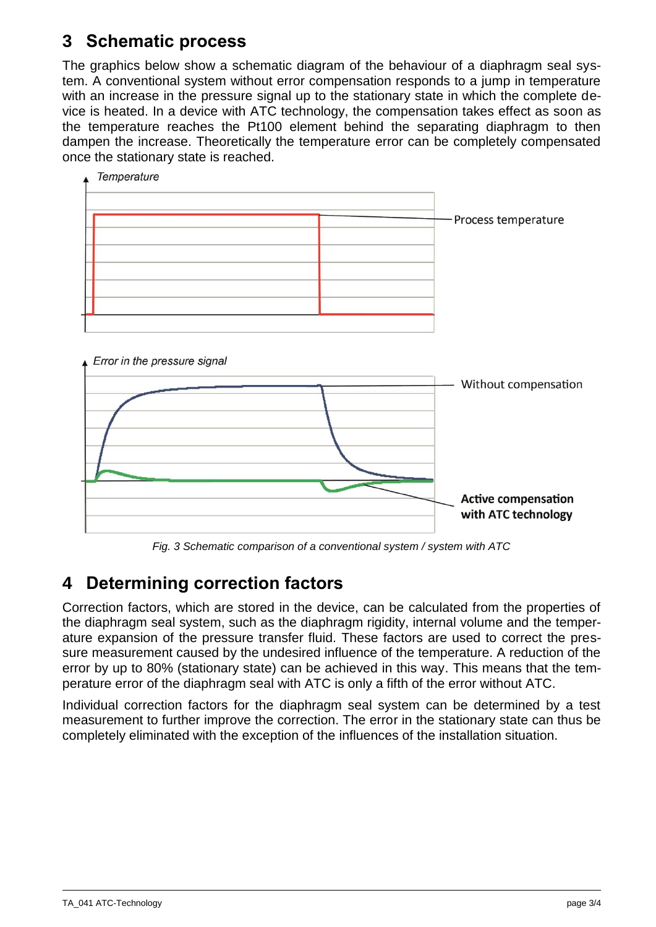## <span id="page-2-0"></span>**3 Schematic process**

The graphics below show a schematic diagram of the behaviour of a diaphragm seal system. A conventional system without error compensation responds to a jump in temperature with an increase in the pressure signal up to the stationary state in which the complete device is heated. In a device with ATC technology, the compensation takes effect as soon as the temperature reaches the Pt100 element behind the separating diaphragm to then dampen the increase. Theoretically the temperature error can be completely compensated once the stationary state is reached.





*Fig. 3 Schematic comparison of a conventional system / system with ATC*

## <span id="page-2-1"></span>**4 Determining correction factors**

Correction factors, which are stored in the device, can be calculated from the properties of the diaphragm seal system, such as the diaphragm rigidity, internal volume and the temperature expansion of the pressure transfer fluid. These factors are used to correct the pressure measurement caused by the undesired influence of the temperature. A reduction of the error by up to 80% (stationary state) can be achieved in this way. This means that the temperature error of the diaphragm seal with ATC is only a fifth of the error without ATC.

Individual correction factors for the diaphragm seal system can be determined by a test measurement to further improve the correction. The error in the stationary state can thus be completely eliminated with the exception of the influences of the installation situation.